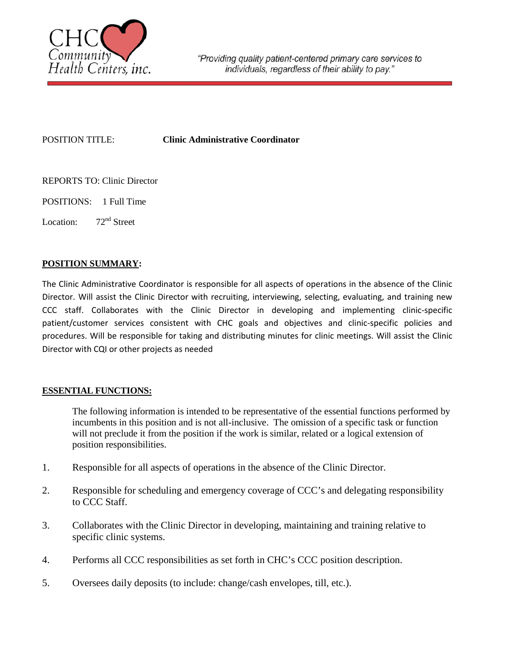

POSITION TITLE: **Clinic Administrative Coordinator** 

- REPORTS TO: Clinic Director
- POSITIONS: 1 Full Time
- Location: 72<sup>nd</sup> Street

## **POSITION SUMMARY:**

The Clinic Administrative Coordinator is responsible for all aspects of operations in the absence of the Clinic Director. Will assist the Clinic Director with recruiting, interviewing, selecting, evaluating, and training new CCC staff. Collaborates with the Clinic Director in developing and implementing clinic-specific patient/customer services consistent with CHC goals and objectives and clinic-specific policies and procedures. Will be responsible for taking and distributing minutes for clinic meetings. Will assist the Clinic Director with CQI or other projects as needed

## **ESSENTIAL FUNCTIONS:**

The following information is intended to be representative of the essential functions performed by incumbents in this position and is not all-inclusive. The omission of a specific task or function will not preclude it from the position if the work is similar, related or a logical extension of position responsibilities.

- 1. Responsible for all aspects of operations in the absence of the Clinic Director.
- 2. Responsible for scheduling and emergency coverage of CCC's and delegating responsibility to CCC Staff.
- 3. Collaborates with the Clinic Director in developing, maintaining and training relative to specific clinic systems.
- 4. Performs all CCC responsibilities as set forth in CHC's CCC position description.
- 5. Oversees daily deposits (to include: change/cash envelopes, till, etc.).